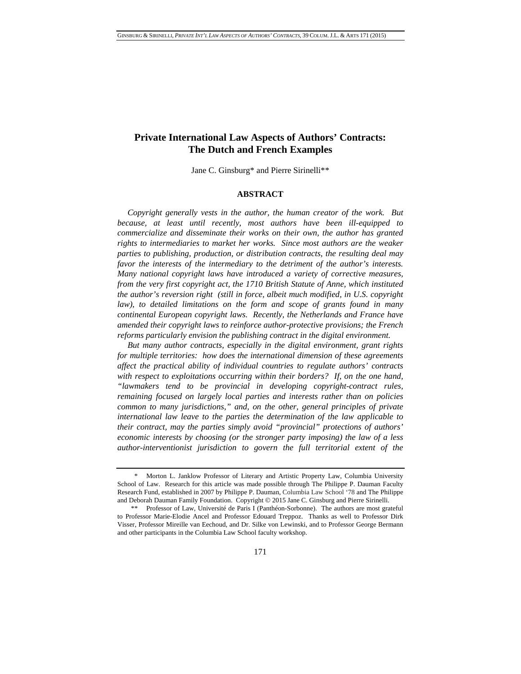# **Private International Law Aspects of Authors' Contracts: The Dutch and French Examples**

Jane C. Ginsburg\* and Pierre Sirinelli\*\*

# **ABSTRACT**

*Copyright generally vests in the author, the human creator of the work. But because, at least until recently, most authors have been ill-equipped to commercialize and disseminate their works on their own, the author has granted rights to intermediaries to market her works. Since most authors are the weaker parties to publishing, production, or distribution contracts, the resulting deal may favor the interests of the intermediary to the detriment of the author's interests. Many national copyright laws have introduced a variety of corrective measures, from the very first copyright act, the 1710 British Statute of Anne, which instituted the author's reversion right (still in force, albeit much modified, in U.S. copyright law*), to detailed limitations on the form and scope of grants found in many *continental European copyright laws. Recently, the Netherlands and France have amended their copyright laws to reinforce author-protective provisions; the French reforms particularly envision the publishing contract in the digital environment.*

*But many author contracts, especially in the digital environment, grant rights for multiple territories: how does the international dimension of these agreements affect the practical ability of individual countries to regulate authors' contracts with respect to exploitations occurring within their borders? If, on the one hand, "lawmakers tend to be provincial in developing copyright-contract rules, remaining focused on largely local parties and interests rather than on policies common to many jurisdictions," and, on the other, general principles of private international law leave to the parties the determination of the law applicable to their contract, may the parties simply avoid "provincial" protections of authors' economic interests by choosing (or the stronger party imposing) the law of a less author-interventionist jurisdiction to govern the full territorial extent of the* 

Morton L. Janklow Professor of Literary and Artistic Property Law, Columbia University School of Law. Research for this article was made possible through The Philippe P. Dauman Faculty Research Fund, established in 2007 by Philippe P. Dauman, Columbia Law School '78 and The Philippe and Deborah Dauman Family Foundation. Copyright © 2015 Jane C. Ginsburg and Pierre Sirinelli.

Professor of Law, Université de Paris I (Panthéon-Sorbonne). The authors are most grateful to Professor Marie-Elodie Ancel and Professor Edouard Treppoz. Thanks as well to Professor Dirk Visser, Professor Mireille van Eechoud, and Dr. Silke von Lewinski, and to Professor George Bermann and other participants in the Columbia Law School faculty workshop.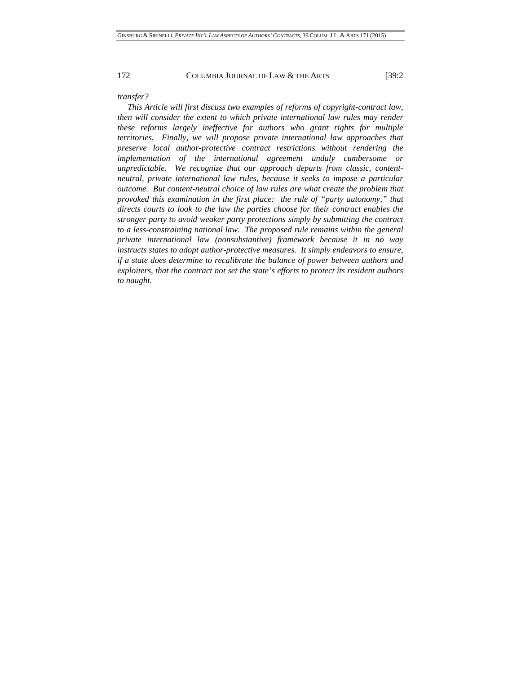### *transfer?*

*This Article will first discuss two examples of reforms of copyright-contract law, then will consider the extent to which private international law rules may render these reforms largely ineffective for authors who grant rights for multiple territories. Finally, we will propose private international law approaches that preserve local author-protective contract restrictions without rendering the implementation of the international agreement unduly cumbersome or unpredictable. We recognize that our approach departs from classic, contentneutral, private international law rules, because it seeks to impose a particular outcome. But content-neutral choice of law rules are what create the problem that provoked this examination in the first place: the rule of "party autonomy," that directs courts to look to the law the parties choose for their contract enables the stronger party to avoid weaker party protections simply by submitting the contract to a less-constraining national law. The proposed rule remains within the general private international law (nonsubstantive) framework because it in no way instructs states to adopt author-protective measures. It simply endeavors to ensure, if a state does determine to recalibrate the balance of power between authors and exploiters, that the contract not set the state's efforts to protect its resident authors to naught.*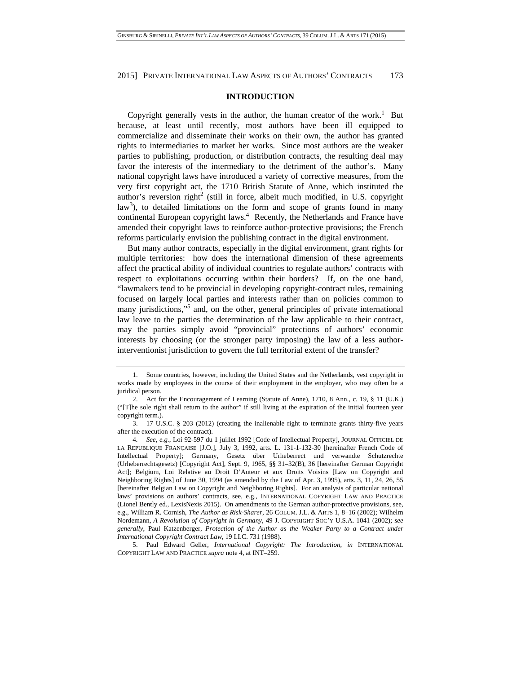### **INTRODUCTION**

Copyright generally vests in the author, the human creator of the work.<sup>1</sup> But because, at least until recently, most authors have been ill equipped to commercialize and disseminate their works on their own, the author has granted rights to intermediaries to market her works. Since most authors are the weaker parties to publishing, production, or distribution contracts, the resulting deal may favor the interests of the intermediary to the detriment of the author's. Many national copyright laws have introduced a variety of corrective measures, from the very first copyright act, the 1710 British Statute of Anne, which instituted the author's reversion right<sup>2</sup> (still in force, albeit much modified, in U.S. copyright  $law<sup>3</sup>$ ), to detailed limitations on the form and scope of grants found in many continental European copyright laws.<sup>4</sup> Recently, the Netherlands and France have amended their copyright laws to reinforce author-protective provisions; the French reforms particularly envision the publishing contract in the digital environment.

But many author contracts, especially in the digital environment, grant rights for multiple territories: how does the international dimension of these agreements affect the practical ability of individual countries to regulate authors' contracts with respect to exploitations occurring within their borders? If, on the one hand, "lawmakers tend to be provincial in developing copyright-contract rules, remaining focused on largely local parties and interests rather than on policies common to many jurisdictions,"<sup>5</sup> and, on the other, general principles of private international law leave to the parties the determination of the law applicable to their contract, may the parties simply avoid "provincial" protections of authors' economic interests by choosing (or the stronger party imposing) the law of a less authorinterventionist jurisdiction to govern the full territorial extent of the transfer?

 5. Paul Edward Geller, *International Copyright: The Introduction*, *in* INTERNATIONAL COPYRIGHT LAW AND PRACTICE *supra* note 4, at INT–259.

 <sup>1.</sup> Some countries, however, including the United States and the Netherlands, vest copyright in works made by employees in the course of their employment in the employer, who may often be a juridical person.

 <sup>2.</sup> Act for the Encouragement of Learning (Statute of Anne), 1710, 8 Ann., c. 19, § 11 (U.K.) ("[T]he sole right shall return to the author" if still living at the expiration of the initial fourteen year copyright term.).

 <sup>3. 17</sup> U.S.C. § 203 (2012) (creating the inalienable right to terminate grants thirty-five years after the execution of the contract).

<sup>4</sup>*. See, e.g.*, Loi 92-597 du 1 juillet 1992 [Code of Intellectual Property], JOURNAL OFFICIEL DE LA REPUBLIQUE FRANÇAISE [J.O.], July 3, 1992, arts. L. 131-1-132-30 [hereinafter French Code of Intellectual Property]; Germany, Gesetz über Urheberrect und verwandte Schutzrechte (Urheberrechtsgesetz) [Copyright Act], Sept. 9, 1965, §§ 31–32(B), 36 [hereinafter German Copyright Act]; Belgium, Loi Relative au Droit D'Auteur et aux Droits Voisins [Law on Copyright and Neighboring Rights] of June 30, 1994 (as amended by the Law of Apr. 3, 1995), arts. 3, 11, 24, 26, 55 [hereinafter Belgian Law on Copyright and Neighboring Rights]. For an analysis of particular national laws' provisions on authors' contracts, see, e.g., INTERNATIONAL COPYRIGHT LAW AND PRACTICE (Lionel Bently ed., LexisNexis 2015). On amendments to the German author-protective provisions, see, e.g., William R. Cornish, *The Author as Risk-Sharer*, 26 COLUM. J.L. & ARTS 1, 8–16 (2002); Wilhelm Nordemann, *A Revolution of Copyright in Germany*, 49 J. COPYRIGHT SOC'Y U.S.A. 1041 (2002); *see generally*, Paul Katzenberger, *Protection of the Author as the Weaker Party to a Contract under International Copyright Contract Law*, 19 I.I.C. 731 (1988).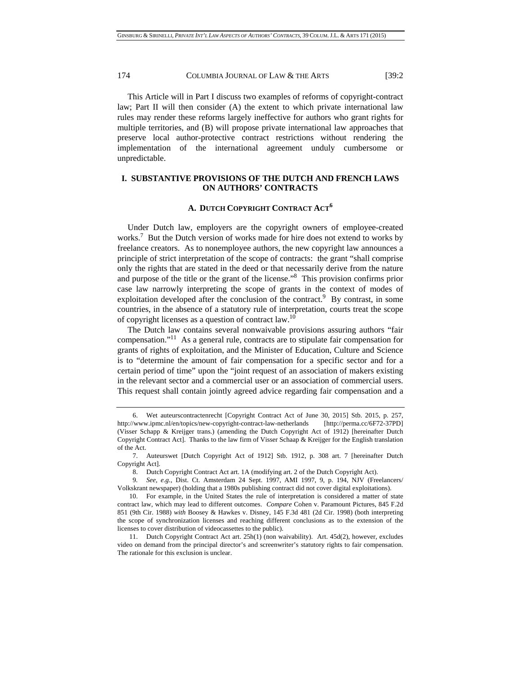This Article will in Part I discuss two examples of reforms of copyright-contract law; Part II will then consider (A) the extent to which private international law rules may render these reforms largely ineffective for authors who grant rights for multiple territories, and (B) will propose private international law approaches that preserve local author-protective contract restrictions without rendering the implementation of the international agreement unduly cumbersome or unpredictable.

# **I. SUBSTANTIVE PROVISIONS OF THE DUTCH AND FRENCH LAWS ON AUTHORS' CONTRACTS**

### **A. DUTCH COPYRIGHT CONTRACT ACT<sup>6</sup>**

Under Dutch law, employers are the copyright owners of employee-created works.<sup>7</sup> But the Dutch version of works made for hire does not extend to works by freelance creators. As to nonemployee authors, the new copyright law announces a principle of strict interpretation of the scope of contracts: the grant "shall comprise only the rights that are stated in the deed or that necessarily derive from the nature and purpose of the title or the grant of the license."8 This provision confirms prior case law narrowly interpreting the scope of grants in the context of modes of exploitation developed after the conclusion of the contract.<sup>9</sup> By contrast, in some countries, in the absence of a statutory rule of interpretation, courts treat the scope of copyright licenses as a question of contract law.10

The Dutch law contains several nonwaivable provisions assuring authors "fair compensation."11 As a general rule, contracts are to stipulate fair compensation for grants of rights of exploitation, and the Minister of Education, Culture and Science is to "determine the amount of fair compensation for a specific sector and for a certain period of time" upon the "joint request of an association of makers existing in the relevant sector and a commercial user or an association of commercial users. This request shall contain jointly agreed advice regarding fair compensation and a

 <sup>6.</sup> Wet auteurscontractenrecht [Copyright Contract Act of June 30, 2015] Stb. 2015, p. 257, http://www.ipmc.nl/en/topics/new-copyright-contract-law-netherlands [http://perma.cc/6F72-37PD] (Visser Schapp & Kreijger trans.) (amending the Dutch Copyright Act of 1912) [hereinafter Dutch Copyright Contract Act]. Thanks to the law firm of Visser Schaap & Kreijger for the English translation of the Act.

 <sup>7.</sup> Auteurswet [Dutch Copyright Act of 1912] Stb. 1912, p. 308 art. 7 [hereinafter Dutch Copyright Act].

 <sup>8.</sup> Dutch Copyright Contract Act art. 1A (modifying art. 2 of the Dutch Copyright Act).

<sup>9</sup>*. See, e.g.*, Dist. Ct. Amsterdam 24 Sept. 1997, AMI 1997, 9, p. 194, NJV (Freelancers/ Volkskrant newspaper) (holding that a 1980s publishing contract did not cover digital exploitations).

<sup>10.</sup> For example, in the United States the rule of interpretation is considered a matter of state contract law, which may lead to different outcomes. *Compare* Cohen v. Paramount Pictures, 845 F.2d 851 (9th Cir. 1988) *with* Boosey & Hawkes v. Disney, 145 F.3d 481 (2d Cir. 1998) (both interpreting the scope of synchronization licenses and reaching different conclusions as to the extension of the licenses to cover distribution of videocassettes to the public).

 <sup>11.</sup> Dutch Copyright Contract Act art. 25h(1) (non waivability). Art. 45d(2), however, excludes video on demand from the principal director's and screenwriter's statutory rights to fair compensation. The rationale for this exclusion is unclear.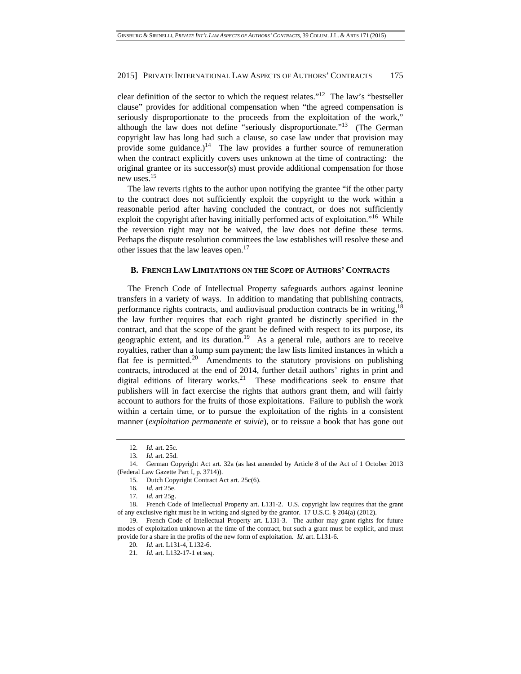clear definition of the sector to which the request relates."12 The law's "bestseller clause" provides for additional compensation when "the agreed compensation is seriously disproportionate to the proceeds from the exploitation of the work," although the law does not define "seriously disproportionate."<sup>13</sup> (The German copyright law has long had such a clause, so case law under that provision may provide some guidance.)<sup>14</sup> The law provides a further source of remuneration when the contract explicitly covers uses unknown at the time of contracting: the original grantee or its successor(s) must provide additional compensation for those new uses.15

The law reverts rights to the author upon notifying the grantee "if the other party to the contract does not sufficiently exploit the copyright to the work within a reasonable period after having concluded the contract, or does not sufficiently exploit the copyright after having initially performed acts of exploitation."16 While the reversion right may not be waived, the law does not define these terms. Perhaps the dispute resolution committees the law establishes will resolve these and other issues that the law leaves open.<sup>17</sup>

# **B. FRENCH LAW LIMITATIONS ON THE SCOPE OF AUTHORS' CONTRACTS**

The French Code of Intellectual Property safeguards authors against leonine transfers in a variety of ways. In addition to mandating that publishing contracts, performance rights contracts, and audiovisual production contracts be in writing,<sup>18</sup> the law further requires that each right granted be distinctly specified in the contract, and that the scope of the grant be defined with respect to its purpose, its geographic extent, and its duration.<sup>19</sup> As a general rule, authors are to receive royalties, rather than a lump sum payment; the law lists limited instances in which a flat fee is permitted.<sup>20</sup> Amendments to the statutory provisions on publishing contracts, introduced at the end of 2014, further detail authors' rights in print and digital editions of literary works.<sup>21</sup> These modifications seek to ensure that publishers will in fact exercise the rights that authors grant them, and will fairly account to authors for the fruits of those exploitations. Failure to publish the work within a certain time, or to pursue the exploitation of the rights in a consistent manner (*exploitation permanente et suivie*), or to reissue a book that has gone out

<sup>12</sup>*. Id.* art. 25c.

<sup>13</sup>*. Id.* art. 25d.

 <sup>14.</sup> German Copyright Act art. 32a (as last amended by Article 8 of the Act of 1 October 2013 (Federal Law Gazette Part I, p. 3714)).

 <sup>15.</sup> Dutch Copyright Contract Act art. 25c(6).

<sup>16</sup>*. Id.* art 25e.

<sup>17</sup>*. Id.* art 25g.

 <sup>18.</sup> French Code of Intellectual Property art. L131-2. U.S. copyright law requires that the grant of any exclusive right must be in writing and signed by the grantor. 17 U.S.C. § 204(a) (2012).

 <sup>19.</sup> French Code of Intellectual Property art. L131-3. The author may grant rights for future modes of exploitation unknown at the time of the contract, but such a grant must be explicit, and must provide for a share in the profits of the new form of exploitation. *Id.* art. L131-6.

<sup>20</sup>*. Id.* art. L131-4, L132-6.

<sup>21</sup>*. Id.* art. L132-17-1 et seq.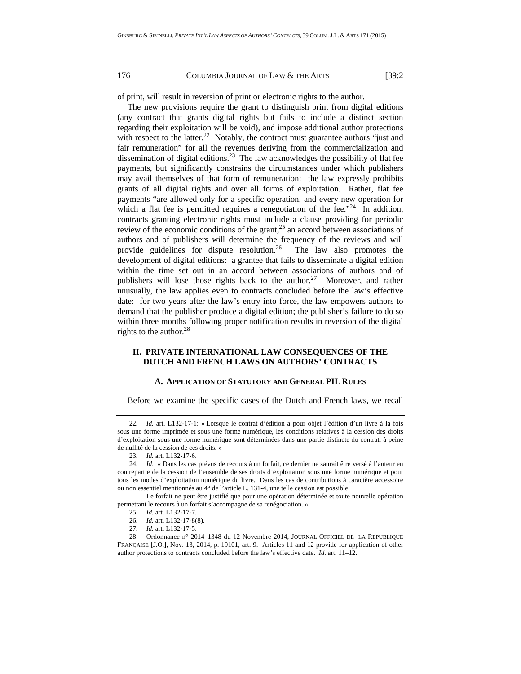of print, will result in reversion of print or electronic rights to the author.

The new provisions require the grant to distinguish print from digital editions (any contract that grants digital rights but fails to include a distinct section regarding their exploitation will be void), and impose additional author protections with respect to the latter.<sup>22</sup> Notably, the contract must guarantee authors "just and fair remuneration" for all the revenues deriving from the commercialization and dissemination of digital editions.<sup>23</sup> The law acknowledges the possibility of flat fee payments, but significantly constrains the circumstances under which publishers may avail themselves of that form of remuneration: the law expressly prohibits grants of all digital rights and over all forms of exploitation. Rather, flat fee payments "are allowed only for a specific operation, and every new operation for which a flat fee is permitted requires a renegotiation of the fee.<sup> $24$ </sup> In addition, contracts granting electronic rights must include a clause providing for periodic review of the economic conditions of the grant; $^{25}$  an accord between associations of authors and of publishers will determine the frequency of the reviews and will provide guidelines for dispute resolution.<sup>26</sup> The law also promotes the development of digital editions: a grantee that fails to disseminate a digital edition within the time set out in an accord between associations of authors and of publishers will lose those rights back to the author.<sup>27</sup> Moreover, and rather unusually, the law applies even to contracts concluded before the law's effective date: for two years after the law's entry into force, the law empowers authors to demand that the publisher produce a digital edition; the publisher's failure to do so within three months following proper notification results in reversion of the digital rights to the author.<sup>28</sup>

# **II. PRIVATE INTERNATIONAL LAW CONSEQUENCES OF THE DUTCH AND FRENCH LAWS ON AUTHORS' CONTRACTS**

### **A. APPLICATION OF STATUTORY AND GENERAL PIL RULES**

Before we examine the specific cases of the Dutch and French laws, we recall

 Le forfait ne peut être justifié que pour une opération déterminée et toute nouvelle opération permettant le recours à un forfait s'accompagne de sa renégociation. »

<sup>22</sup>*. Id.* art. L132-17-1: « Lorsque le contrat d'édition a pour objet l'édition d'un livre à la fois sous une forme imprimée et sous une forme numérique, les conditions relatives à la cession des droits d'exploitation sous une forme numérique sont déterminées dans une partie distincte du contrat, à peine de nullité de la cession de ces droits. »

<sup>23</sup>*. Id.* art. L132-17-6.

<sup>24</sup>*. Id*. « Dans les cas prévus de recours à un forfait, ce dernier ne saurait être versé à l'auteur en contrepartie de la cession de l'ensemble de ses droits d'exploitation sous une forme numérique et pour tous les modes d'exploitation numérique du livre. Dans les cas de contributions à caractère accessoire ou non essentiel mentionnés au 4° de l'article L. 131-4, une telle cession est possible.

<sup>25</sup>*. Id.* art. L132-17-7.

<sup>26</sup>*. Id.* art. L132-17-8(8).

<sup>27</sup>*. Id.* art. L132-17-5.

 <sup>28.</sup> Ordonnance n° 2014–1348 du 12 Novembre 2014, JOURNAL OFFICIEL DE LA REPUBLIQUE FRANÇAISE [J.O.], Nov. 13, 2014, p. 19101, art. 9. Articles 11 and 12 provide for application of other author protections to contracts concluded before the law's effective date. *Id.* art. 11–12.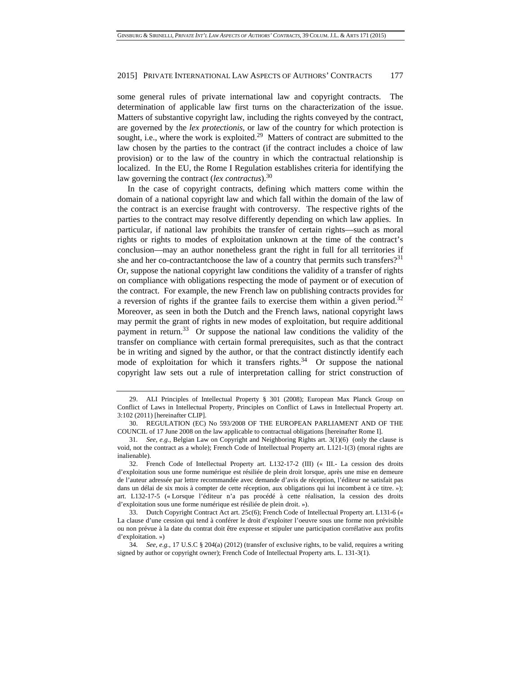some general rules of private international law and copyright contracts. The determination of applicable law first turns on the characterization of the issue. Matters of substantive copyright law, including the rights conveyed by the contract, are governed by the *lex protectionis*, or law of the country for which protection is sought, i.e., where the work is exploited.<sup>29</sup> Matters of contract are submitted to the law chosen by the parties to the contract (if the contract includes a choice of law provision) or to the law of the country in which the contractual relationship is localized. In the EU, the Rome I Regulation establishes criteria for identifying the law governing the contract (*lex contractus*).30

In the case of copyright contracts, defining which matters come within the domain of a national copyright law and which fall within the domain of the law of the contract is an exercise fraught with controversy. The respective rights of the parties to the contract may resolve differently depending on which law applies. In particular, if national law prohibits the transfer of certain rights—such as moral rights or rights to modes of exploitation unknown at the time of the contract's conclusion—may an author nonetheless grant the right in full for all territories if she and her co-contractantchoose the law of a country that permits such transfers?<sup>31</sup> Or, suppose the national copyright law conditions the validity of a transfer of rights on compliance with obligations respecting the mode of payment or of execution of the contract. For example, the new French law on publishing contracts provides for a reversion of rights if the grantee fails to exercise them within a given period.<sup>32</sup> Moreover, as seen in both the Dutch and the French laws, national copyright laws may permit the grant of rights in new modes of exploitation, but require additional payment in return.<sup>33</sup> Or suppose the national law conditions the validity of the transfer on compliance with certain formal prerequisites, such as that the contract be in writing and signed by the author, or that the contract distinctly identify each mode of exploitation for which it transfers rights.<sup>34</sup> Or suppose the national copyright law sets out a rule of interpretation calling for strict construction of

 <sup>29.</sup> ALI Principles of Intellectual Property § 301 (2008); European Max Planck Group on Conflict of Laws in Intellectual Property, Principles on Conflict of Laws in Intellectual Property art. 3:102 (2011) [hereinafter CLIP].

 <sup>30.</sup> REGULATION (EC) No 593/2008 OF THE EUROPEAN PARLIAMENT AND OF THE COUNCIL of 17 June 2008 on the law applicable to contractual obligations [hereinafter Rome I].

<sup>31</sup>*. See, e.g.*, Belgian Law on Copyright and Neighboring Rights art. 3(1)(6) (only the clause is void, not the contract as a whole); French Code of Intellectual Property art. L121-1(3) (moral rights are inalienable).

 <sup>32.</sup> French Code of Intellectual Property art. L132-17-2 (III) (« III.- La cession des droits d'exploitation sous une forme numérique est résiliée de plein droit lorsque, après une mise en demeure de l'auteur adressée par lettre recommandée avec demande d'avis de réception, l'éditeur ne satisfait pas dans un délai de six mois à compter de cette réception, aux obligations qui lui incombent à ce titre. »); art. L132-17-5 (« Lorsque l'éditeur n'a pas procédé à cette réalisation, la cession des droits d'exploitation sous une forme numérique est résiliée de plein droit. »).

 <sup>33.</sup> Dutch Copyright Contract Act art. 25c(6); French Code of Intellectual Property art. L131-6 (« La clause d'une cession qui tend à conférer le droit d'exploiter l'oeuvre sous une forme non prévisible ou non prévue à la date du contrat doit être expresse et stipuler une participation corrélative aux profits d'exploitation. »)

<sup>34</sup>*. See, e.g.*, 17 U.S.C § 204(a) (2012) (transfer of exclusive rights, to be valid, requires a writing signed by author or copyright owner); French Code of Intellectual Property arts. L. 131-3(1).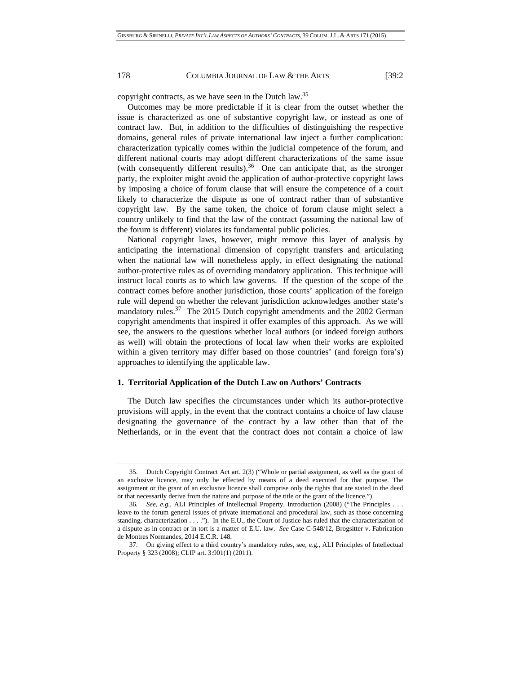copyright contracts, as we have seen in the Dutch law.35

Outcomes may be more predictable if it is clear from the outset whether the issue is characterized as one of substantive copyright law, or instead as one of contract law. But, in addition to the difficulties of distinguishing the respective domains, general rules of private international law inject a further complication: characterization typically comes within the judicial competence of the forum, and different national courts may adopt different characterizations of the same issue (with consequently different results).<sup>36</sup> One can anticipate that, as the stronger party, the exploiter might avoid the application of author-protective copyright laws by imposing a choice of forum clause that will ensure the competence of a court likely to characterize the dispute as one of contract rather than of substantive copyright law. By the same token, the choice of forum clause might select a country unlikely to find that the law of the contract (assuming the national law of the forum is different) violates its fundamental public policies.

National copyright laws, however, might remove this layer of analysis by anticipating the international dimension of copyright transfers and articulating when the national law will nonetheless apply, in effect designating the national author-protective rules as of overriding mandatory application. This technique will instruct local courts as to which law governs. If the question of the scope of the contract comes before another jurisdiction, those courts' application of the foreign rule will depend on whether the relevant jurisdiction acknowledges another state's mandatory rules.<sup>37</sup> The 2015 Dutch copyright amendments and the 2002 German copyright amendments that inspired it offer examples of this approach. As we will see, the answers to the questions whether local authors (or indeed foreign authors as well) will obtain the protections of local law when their works are exploited within a given territory may differ based on those countries' (and foreign fora's) approaches to identifying the applicable law.

### **1. Territorial Application of the Dutch Law on Authors' Contracts**

The Dutch law specifies the circumstances under which its author-protective provisions will apply, in the event that the contract contains a choice of law clause designating the governance of the contract by a law other than that of the Netherlands, or in the event that the contract does not contain a choice of law

 <sup>35.</sup> Dutch Copyright Contract Act art. 2(3) ("Whole or partial assignment, as well as the grant of an exclusive licence, may only be effected by means of a deed executed for that purpose. The assignment or the grant of an exclusive licence shall comprise only the rights that are stated in the deed or that necessarily derive from the nature and purpose of the title or the grant of the licence.")

<sup>36</sup>*. See, e.g.*, ALI Principles of Intellectual Property, Introduction (2008) ("The Principles . . . leave to the forum general issues of private international and procedural law, such as those concerning standing, characterization . . . ."). In the E.U., the Court of Justice has ruled that the characterization of a dispute as in contract or in tort is a matter of E.U. law. *See* Case C-548/12, Brogsitter v. Fabrication de Montres Normandes, 2014 E.C.R. 148.

 <sup>37.</sup> On giving effect to a third country's mandatory rules, see, e.g., ALI Principles of Intellectual Property § 323 (2008); CLIP art. 3:901(1) (2011).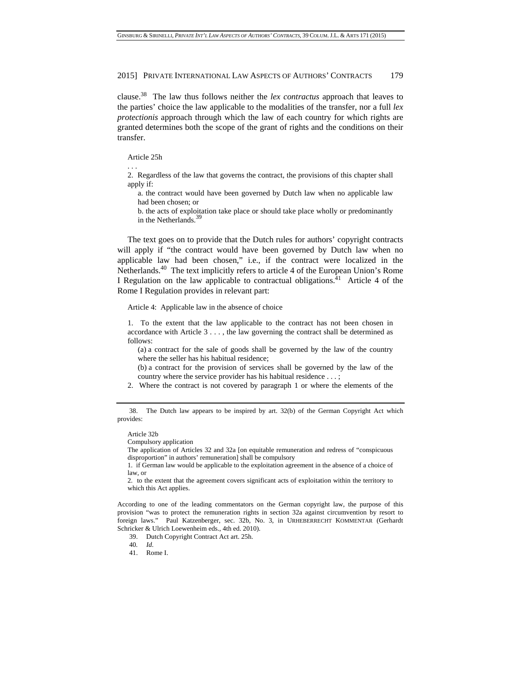clause.38 The law thus follows neither the *lex contractus* approach that leaves to the parties' choice the law applicable to the modalities of the transfer, nor a full *lex protectionis* approach through which the law of each country for which rights are granted determines both the scope of the grant of rights and the conditions on their transfer.

#### Article 25h

. . .

2. Regardless of the law that governs the contract, the provisions of this chapter shall apply if:

a. the contract would have been governed by Dutch law when no applicable law had been chosen; or

b. the acts of exploitation take place or should take place wholly or predominantly in the Netherlands.<sup>39</sup>

The text goes on to provide that the Dutch rules for authors' copyright contracts will apply if "the contract would have been governed by Dutch law when no applicable law had been chosen," i.e., if the contract were localized in the Netherlands.40 The text implicitly refers to article 4 of the European Union's Rome I Regulation on the law applicable to contractual obligations.<sup>41</sup> Article 4 of the Rome I Regulation provides in relevant part:

Article 4: Applicable law in the absence of choice

1. To the extent that the law applicable to the contract has not been chosen in accordance with Article 3 . . . , the law governing the contract shall be determined as follows:

(a) a contract for the sale of goods shall be governed by the law of the country where the seller has his habitual residence;

(b) a contract for the provision of services shall be governed by the law of the country where the service provider has his habitual residence . . . ;

2. Where the contract is not covered by paragraph 1 or where the elements of the

Article 32b

The application of Articles 32 and 32a [on equitable remuneration and redress of "conspicuous disproportion" in authors' remuneration] shall be compulsory

1. if German law would be applicable to the exploitation agreement in the absence of a choice of law, or

2. to the extent that the agreement covers significant acts of exploitation within the territory to which this Act applies.

According to one of the leading commentators on the German copyright law, the purpose of this provision "was to protect the remuneration rights in section 32a against circumvention by resort to foreign laws." Paul Katzenberger, sec. 32b, No. 3, in URHEBERRECHT KOMMENTAR (Gerhardt Schricker & Ulrich Loewenheim eds., 4th ed. 2010).

39. Dutch Copyright Contract Act art. 25h.

41. Rome I.

 <sup>38.</sup> The Dutch law appears to be inspired by art. 32(b) of the German Copyright Act which provides:

Compulsory application

<sup>40</sup>*. Id*.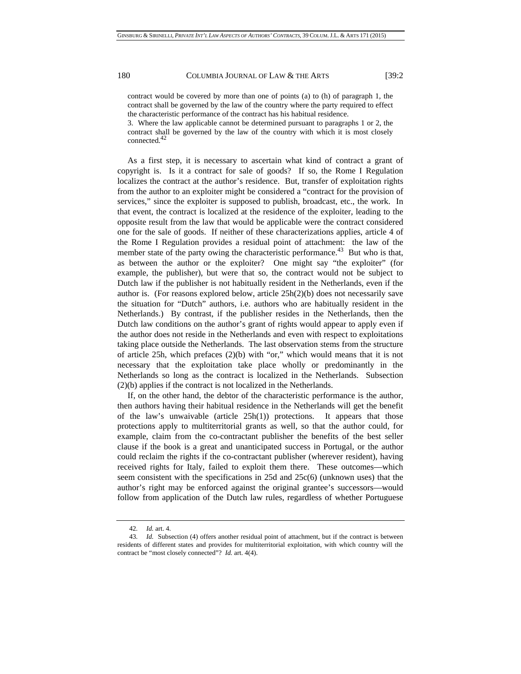contract would be covered by more than one of points (a) to (h) of paragraph 1, the contract shall be governed by the law of the country where the party required to effect the characteristic performance of the contract has his habitual residence.

3. Where the law applicable cannot be determined pursuant to paragraphs 1 or 2, the contract shall be governed by the law of the country with which it is most closely connected. $42$ 

As a first step, it is necessary to ascertain what kind of contract a grant of copyright is. Is it a contract for sale of goods? If so, the Rome I Regulation localizes the contract at the author's residence. But, transfer of exploitation rights from the author to an exploiter might be considered a "contract for the provision of services," since the exploiter is supposed to publish, broadcast, etc., the work. In that event, the contract is localized at the residence of the exploiter, leading to the opposite result from the law that would be applicable were the contract considered one for the sale of goods. If neither of these characterizations applies, article 4 of the Rome I Regulation provides a residual point of attachment: the law of the member state of the party owing the characteristic performance.<sup>43</sup> But who is that, as between the author or the exploiter? One might say "the exploiter" (for example, the publisher), but were that so, the contract would not be subject to Dutch law if the publisher is not habitually resident in the Netherlands, even if the author is. (For reasons explored below, article 25h(2)(b) does not necessarily save the situation for "Dutch" authors, i.e. authors who are habitually resident in the Netherlands.) By contrast, if the publisher resides in the Netherlands, then the Dutch law conditions on the author's grant of rights would appear to apply even if the author does not reside in the Netherlands and even with respect to exploitations taking place outside the Netherlands. The last observation stems from the structure of article 25h, which prefaces (2)(b) with "or," which would means that it is not necessary that the exploitation take place wholly or predominantly in the Netherlands so long as the contract is localized in the Netherlands. Subsection (2)(b) applies if the contract is not localized in the Netherlands.

If, on the other hand, the debtor of the characteristic performance is the author, then authors having their habitual residence in the Netherlands will get the benefit of the law's unwaivable (article 25h(1)) protections. It appears that those protections apply to multiterritorial grants as well, so that the author could, for example, claim from the co-contractant publisher the benefits of the best seller clause if the book is a great and unanticipated success in Portugal, or the author could reclaim the rights if the co-contractant publisher (wherever resident), having received rights for Italy, failed to exploit them there. These outcomes—which seem consistent with the specifications in 25d and 25c(6) (unknown uses) that the author's right may be enforced against the original grantee's successors—would follow from application of the Dutch law rules, regardless of whether Portuguese

<sup>42</sup>*. Id.* art. 4.

<sup>43</sup>*. Id.* Subsection (4) offers another residual point of attachment, but if the contract is between residents of different states and provides for multiterritorial exploitation, with which country will the contract be "most closely connected"? *Id.* art. 4(4).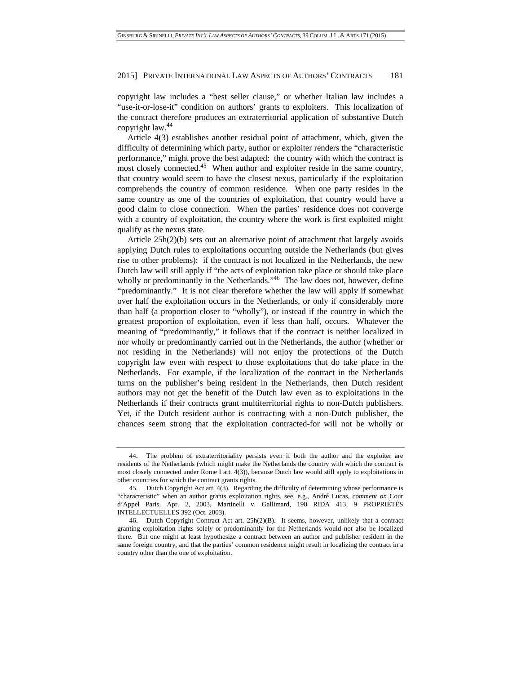copyright law includes a "best seller clause," or whether Italian law includes a "use-it-or-lose-it" condition on authors' grants to exploiters. This localization of the contract therefore produces an extraterritorial application of substantive Dutch copyright law.44

Article 4(3) establishes another residual point of attachment, which, given the difficulty of determining which party, author or exploiter renders the "characteristic performance," might prove the best adapted: the country with which the contract is most closely connected.<sup>45</sup> When author and exploiter reside in the same country, that country would seem to have the closest nexus, particularly if the exploitation comprehends the country of common residence. When one party resides in the same country as one of the countries of exploitation, that country would have a good claim to close connection. When the parties' residence does not converge with a country of exploitation, the country where the work is first exploited might qualify as the nexus state.

Article  $25h(2)(b)$  sets out an alternative point of attachment that largely avoids applying Dutch rules to exploitations occurring outside the Netherlands (but gives rise to other problems): if the contract is not localized in the Netherlands, the new Dutch law will still apply if "the acts of exploitation take place or should take place wholly or predominantly in the Netherlands."<sup>46</sup> The law does not, however, define "predominantly." It is not clear therefore whether the law will apply if somewhat over half the exploitation occurs in the Netherlands, or only if considerably more than half (a proportion closer to "wholly"), or instead if the country in which the greatest proportion of exploitation, even if less than half, occurs. Whatever the meaning of "predominantly," it follows that if the contract is neither localized in nor wholly or predominantly carried out in the Netherlands, the author (whether or not residing in the Netherlands) will not enjoy the protections of the Dutch copyright law even with respect to those exploitations that do take place in the Netherlands. For example, if the localization of the contract in the Netherlands turns on the publisher's being resident in the Netherlands, then Dutch resident authors may not get the benefit of the Dutch law even as to exploitations in the Netherlands if their contracts grant multiterritorial rights to non-Dutch publishers. Yet, if the Dutch resident author is contracting with a non-Dutch publisher, the chances seem strong that the exploitation contracted-for will not be wholly or

 <sup>44.</sup> The problem of extraterritoriality persists even if both the author and the exploiter are residents of the Netherlands (which might make the Netherlands the country with which the contract is most closely connected under Rome I art. 4(3)), because Dutch law would still apply to exploitations in other countries for which the contract grants rights.

 <sup>45.</sup> Dutch Copyright Act art. 4(3). Regarding the difficulty of determining whose performance is "characteristic" when an author grants exploitation rights, see, e.g., André Lucas, *comment on* Cour d'Appel Paris, Apr. 2, 2003, Martinelli v. Gallimard, 198 RIDA 413, 9 PROPRIÉTÉS INTELLECTUELLES 392 (Oct. 2003).

 <sup>46.</sup> Dutch Copyright Contract Act art. 25h(2)(B). It seems, however, unlikely that a contract granting exploitation rights solely or predominantly for the Netherlands would not also be localized there. But one might at least hypothesize a contract between an author and publisher resident in the same foreign country, and that the parties' common residence might result in localizing the contract in a country other than the one of exploitation.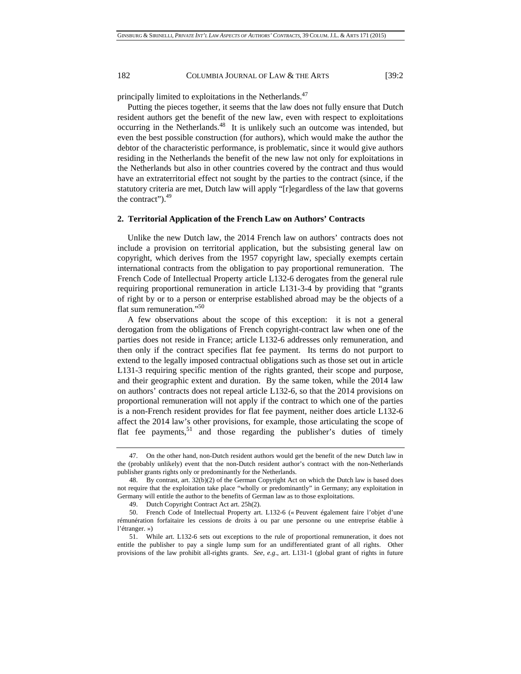principally limited to exploitations in the Netherlands.<sup>47</sup>

Putting the pieces together, it seems that the law does not fully ensure that Dutch resident authors get the benefit of the new law, even with respect to exploitations occurring in the Netherlands.<sup>48</sup> It is unlikely such an outcome was intended, but even the best possible construction (for authors), which would make the author the debtor of the characteristic performance, is problematic, since it would give authors residing in the Netherlands the benefit of the new law not only for exploitations in the Netherlands but also in other countries covered by the contract and thus would have an extraterritorial effect not sought by the parties to the contract (since, if the statutory criteria are met, Dutch law will apply "[r]egardless of the law that governs the contract"). $49$ 

### **2. Territorial Application of the French Law on Authors' Contracts**

Unlike the new Dutch law, the 2014 French law on authors' contracts does not include a provision on territorial application, but the subsisting general law on copyright, which derives from the 1957 copyright law, specially exempts certain international contracts from the obligation to pay proportional remuneration. The French Code of Intellectual Property article L132-6 derogates from the general rule requiring proportional remuneration in article L131-3-4 by providing that "grants of right by or to a person or enterprise established abroad may be the objects of a flat sum remuneration."<sup>50</sup>

A few observations about the scope of this exception: it is not a general derogation from the obligations of French copyright-contract law when one of the parties does not reside in France; article L132-6 addresses only remuneration, and then only if the contract specifies flat fee payment. Its terms do not purport to extend to the legally imposed contractual obligations such as those set out in article L131-3 requiring specific mention of the rights granted, their scope and purpose, and their geographic extent and duration. By the same token, while the 2014 law on authors' contracts does not repeal article L132-6, so that the 2014 provisions on proportional remuneration will not apply if the contract to which one of the parties is a non-French resident provides for flat fee payment, neither does article L132-6 affect the 2014 law's other provisions, for example, those articulating the scope of flat fee payments,  $51$  and those regarding the publisher's duties of timely

 <sup>47.</sup> On the other hand, non-Dutch resident authors would get the benefit of the new Dutch law in the (probably unlikely) event that the non-Dutch resident author's contract with the non-Netherlands publisher grants rights only or predominantly for the Netherlands.

 <sup>48.</sup> By contrast, art. 32(b)(2) of the German Copyright Act on which the Dutch law is based does not require that the exploitation take place "wholly or predominantly" in Germany; any exploitation in Germany will entitle the author to the benefits of German law as to those exploitations.

 <sup>49.</sup> Dutch Copyright Contract Act art. 25h(2).

 <sup>50.</sup> French Code of Intellectual Property art. L132-6 (« Peuvent également faire l'objet d'une rémunération forfaitaire les cessions de droits à ou par une personne ou une entreprise établie à l'étranger. »)

 <sup>51.</sup> While art. L132-6 sets out exceptions to the rule of proportional remuneration, it does not entitle the publisher to pay a single lump sum for an undifferentiated grant of all rights. Other provisions of the law prohibit all-rights grants. *See, e.g*., art. L131-1 (global grant of rights in future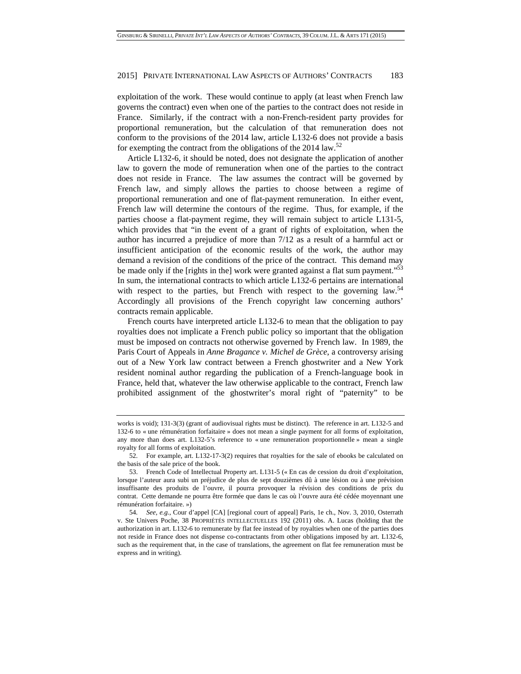exploitation of the work. These would continue to apply (at least when French law governs the contract) even when one of the parties to the contract does not reside in France. Similarly, if the contract with a non-French-resident party provides for proportional remuneration, but the calculation of that remuneration does not conform to the provisions of the 2014 law, article L132-6 does not provide a basis for exempting the contract from the obligations of the 2014 law.<sup>52</sup>

Article L132-6, it should be noted, does not designate the application of another law to govern the mode of remuneration when one of the parties to the contract does not reside in France. The law assumes the contract will be governed by French law, and simply allows the parties to choose between a regime of proportional remuneration and one of flat-payment remuneration. In either event, French law will determine the contours of the regime. Thus, for example, if the parties choose a flat-payment regime, they will remain subject to article L131-5, which provides that "in the event of a grant of rights of exploitation, when the author has incurred a prejudice of more than 7/12 as a result of a harmful act or insufficient anticipation of the economic results of the work, the author may demand a revision of the conditions of the price of the contract. This demand may be made only if the [rights in the] work were granted against a flat sum payment."<sup>53</sup> In sum, the international contracts to which article L132-6 pertains are international with respect to the parties, but French with respect to the governing law.<sup>54</sup> Accordingly all provisions of the French copyright law concerning authors' contracts remain applicable.

French courts have interpreted article L132-6 to mean that the obligation to pay royalties does not implicate a French public policy so important that the obligation must be imposed on contracts not otherwise governed by French law. In 1989, the Paris Court of Appeals in *Anne Bragance v. Michel de Grèce*, a controversy arising out of a New York law contract between a French ghostwriter and a New York resident nominal author regarding the publication of a French-language book in France, held that, whatever the law otherwise applicable to the contract, French law prohibited assignment of the ghostwriter's moral right of "paternity" to be

works is void); 131-3(3) (grant of audiovisual rights must be distinct). The reference in art. L132-5 and 132-6 to « une rémunération forfaitaire » does not mean a single payment for all forms of exploitation, any more than does art. L132-5's reference to « une remuneration proportionnelle » mean a single royalty for all forms of exploitation.

 <sup>52.</sup> For example, art. L132-17-3(2) requires that royalties for the sale of ebooks be calculated on the basis of the sale price of the book.

 <sup>53.</sup> French Code of Intellectual Property art. L131-5 (« En cas de cession du droit d'exploitation, lorsque l'auteur aura subi un préjudice de plus de sept douzièmes dû à une lésion ou à une prévision insuffisante des produits de l'ouvre, il pourra provoquer la révision des conditions de prix du contrat. Cette demande ne pourra être formée que dans le cas où l'ouvre aura été cédée moyennant une rémunération forfaitaire. »)

<sup>54</sup>*. See, e.g.*, Cour d'appel [CA] [regional court of appeal] Paris, 1e ch., Nov. 3, 2010, Osterrath v. Ste Univers Poche, 38 PROPRIÉTÉS INTELLECTUELLES 192 (2011) obs. A. Lucas (holding that the authorization in art. L132-6 to remunerate by flat fee instead of by royalties when one of the parties does not reside in France does not dispense co-contractants from other obligations imposed by art. L132-6, such as the requirement that, in the case of translations, the agreement on flat fee remuneration must be express and in writing).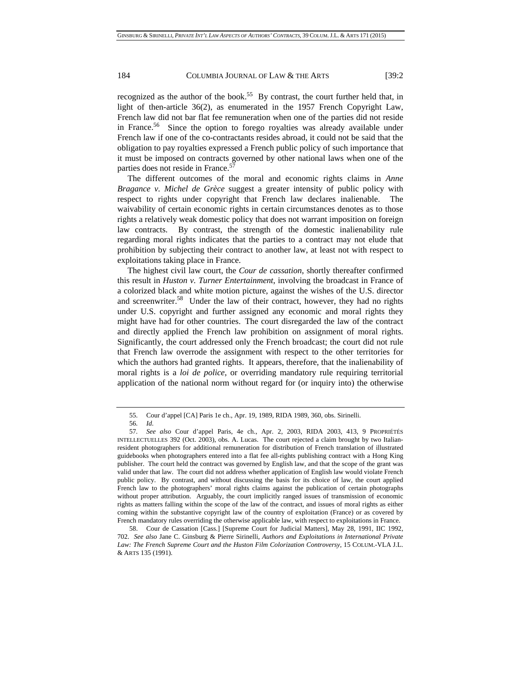recognized as the author of the book.<sup>55</sup> By contrast, the court further held that, in light of then-article 36(2), as enumerated in the 1957 French Copyright Law, French law did not bar flat fee remuneration when one of the parties did not reside in France.<sup>56</sup> Since the option to forego royalties was already available under French law if one of the co-contractants resides abroad, it could not be said that the obligation to pay royalties expressed a French public policy of such importance that it must be imposed on contracts governed by other national laws when one of the parties does not reside in France.<sup>57</sup>

The different outcomes of the moral and economic rights claims in *Anne Bragance v. Michel de Grèce* suggest a greater intensity of public policy with respect to rights under copyright that French law declares inalienable. The waivability of certain economic rights in certain circumstances denotes as to those rights a relatively weak domestic policy that does not warrant imposition on foreign law contracts. By contrast, the strength of the domestic inalienability rule regarding moral rights indicates that the parties to a contract may not elude that prohibition by subjecting their contract to another law, at least not with respect to exploitations taking place in France.

The highest civil law court, the *Cour de cassation*, shortly thereafter confirmed this result in *Huston v. Turner Entertainment*, involving the broadcast in France of a colorized black and white motion picture, against the wishes of the U.S. director and screenwriter.<sup>58</sup> Under the law of their contract, however, they had no rights under U.S. copyright and further assigned any economic and moral rights they might have had for other countries. The court disregarded the law of the contract and directly applied the French law prohibition on assignment of moral rights. Significantly, the court addressed only the French broadcast; the court did not rule that French law overrode the assignment with respect to the other territories for which the authors had granted rights. It appears, therefore, that the inalienability of moral rights is a *loi de police*, or overriding mandatory rule requiring territorial application of the national norm without regard for (or inquiry into) the otherwise

 <sup>55.</sup> Cour d'appel [CA] Paris 1e ch., Apr. 19, 1989, RIDA 1989, 360, obs. Sirinelli.

<sup>56</sup>*. Id*.

<sup>57</sup>*. See also* Cour d'appel Paris, 4e ch., Apr. 2, 2003, RIDA 2003, 413, 9 PROPRIÉTÉS INTELLECTUELLES 392 (Oct. 2003), obs. A. Lucas. The court rejected a claim brought by two Italianresident photographers for additional remuneration for distribution of French translation of illustrated guidebooks when photographers entered into a flat fee all-rights publishing contract with a Hong King publisher. The court held the contract was governed by English law, and that the scope of the grant was valid under that law. The court did not address whether application of English law would violate French public policy. By contrast, and without discussing the basis for its choice of law, the court applied French law to the photographers' moral rights claims against the publication of certain photographs without proper attribution. Arguably, the court implicitly ranged issues of transmission of economic rights as matters falling within the scope of the law of the contract, and issues of moral rights as either coming within the substantive copyright law of the country of exploitation (France) or as covered by French mandatory rules overriding the otherwise applicable law, with respect to exploitations in France.

 <sup>58.</sup> Cour de Cassation [Cass.] [Supreme Court for Judicial Matters], May 28, 1991, IIC 1992, 702. *See also* Jane C. Ginsburg & Pierre Sirinelli, *Authors and Exploitations in International Private Law: The French Supreme Court and the Huston Film Colorization Controversy*, 15 COLUM.-VLA J.L. & ARTS 135 (1991).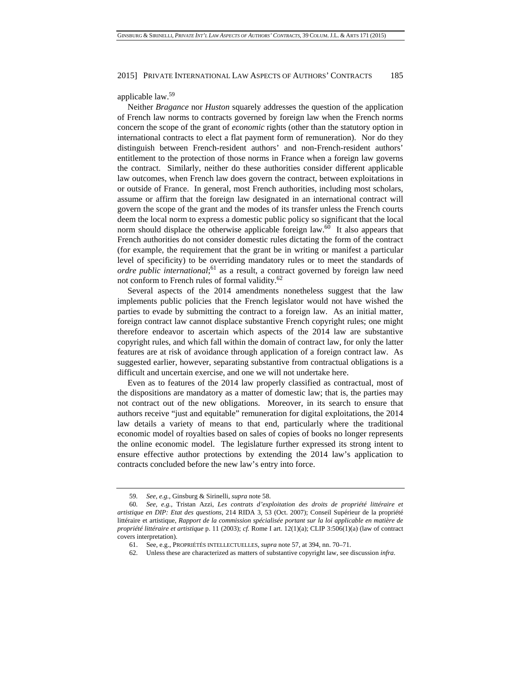#### applicable law.59

Neither *Bragance* nor *Huston* squarely addresses the question of the application of French law norms to contracts governed by foreign law when the French norms concern the scope of the grant of *economic* rights (other than the statutory option in international contracts to elect a flat payment form of remuneration). Nor do they distinguish between French-resident authors' and non-French-resident authors' entitlement to the protection of those norms in France when a foreign law governs the contract. Similarly, neither do these authorities consider different applicable law outcomes, when French law does govern the contract, between exploitations in or outside of France. In general, most French authorities, including most scholars, assume or affirm that the foreign law designated in an international contract will govern the scope of the grant and the modes of its transfer unless the French courts deem the local norm to express a domestic public policy so significant that the local norm should displace the otherwise applicable foreign law. $60$  It also appears that French authorities do not consider domestic rules dictating the form of the contract (for example, the requirement that the grant be in writing or manifest a particular level of specificity) to be overriding mandatory rules or to meet the standards of ordre public international;<sup>61</sup> as a result, a contract governed by foreign law need not conform to French rules of formal validity.<sup>62</sup>

Several aspects of the 2014 amendments nonetheless suggest that the law implements public policies that the French legislator would not have wished the parties to evade by submitting the contract to a foreign law. As an initial matter, foreign contract law cannot displace substantive French copyright rules; one might therefore endeavor to ascertain which aspects of the 2014 law are substantive copyright rules, and which fall within the domain of contract law, for only the latter features are at risk of avoidance through application of a foreign contract law. As suggested earlier, however, separating substantive from contractual obligations is a difficult and uncertain exercise, and one we will not undertake here.

Even as to features of the 2014 law properly classified as contractual, most of the dispositions are mandatory as a matter of domestic law; that is, the parties may not contract out of the new obligations. Moreover, in its search to ensure that authors receive "just and equitable" remuneration for digital exploitations, the 2014 law details a variety of means to that end, particularly where the traditional economic model of royalties based on sales of copies of books no longer represents the online economic model. The legislature further expressed its strong intent to ensure effective author protections by extending the 2014 law's application to contracts concluded before the new law's entry into force.

<sup>59</sup>*. See, e.g.*, Ginsburg & Sirinelli, *supra* note 58.

<sup>60</sup>*. See, e.g.*, Tristan Azzi, *Les contrats d'exploitation des droits de propriété littéraire et artistique en DIP: Etat des questions*, 214 RIDA 3, 53 (Oct. 2007); Conseil Supérieur de la propriété littéraire et artistique, *Rapport de la commission spécialisée portant sur la loi applicable en matière de propriété littéraire et artistique* p. 11 (2003); *cf.* Rome I art. 12(1)(a); CLIP 3:506(1)(a) (law of contract covers interpretation).

 <sup>61.</sup> See, e.g., PROPRIÉTÉS INTELLECTUELLES, *supra* note 57, at 394, nn. 70–71.

 <sup>62.</sup> Unless these are characterized as matters of substantive copyright law, see discussion *infra*.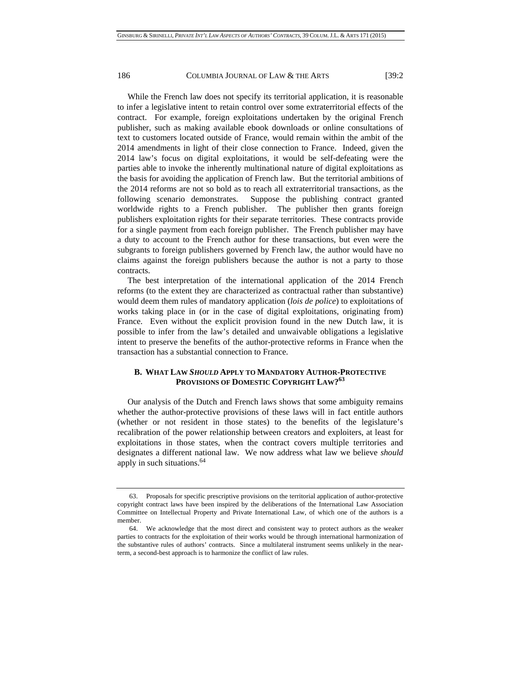While the French law does not specify its territorial application, it is reasonable to infer a legislative intent to retain control over some extraterritorial effects of the contract. For example, foreign exploitations undertaken by the original French publisher, such as making available ebook downloads or online consultations of text to customers located outside of France, would remain within the ambit of the 2014 amendments in light of their close connection to France. Indeed, given the 2014 law's focus on digital exploitations, it would be self-defeating were the parties able to invoke the inherently multinational nature of digital exploitations as the basis for avoiding the application of French law. But the territorial ambitions of the 2014 reforms are not so bold as to reach all extraterritorial transactions, as the following scenario demonstrates. Suppose the publishing contract granted worldwide rights to a French publisher. The publisher then grants foreign publishers exploitation rights for their separate territories. These contracts provide for a single payment from each foreign publisher. The French publisher may have a duty to account to the French author for these transactions, but even were the subgrants to foreign publishers governed by French law, the author would have no claims against the foreign publishers because the author is not a party to those contracts.

The best interpretation of the international application of the 2014 French reforms (to the extent they are characterized as contractual rather than substantive) would deem them rules of mandatory application (*lois de police*) to exploitations of works taking place in (or in the case of digital exploitations, originating from) France. Even without the explicit provision found in the new Dutch law, it is possible to infer from the law's detailed and unwaivable obligations a legislative intent to preserve the benefits of the author-protective reforms in France when the transaction has a substantial connection to France.

# **B. WHAT LAW** *SHOULD* **APPLY TO MANDATORY AUTHOR-PROTECTIVE PROVISIONS OF DOMESTIC COPYRIGHT LAW?<sup>63</sup>**

Our analysis of the Dutch and French laws shows that some ambiguity remains whether the author-protective provisions of these laws will in fact entitle authors (whether or not resident in those states) to the benefits of the legislature's recalibration of the power relationship between creators and exploiters, at least for exploitations in those states, when the contract covers multiple territories and designates a different national law. We now address what law we believe *should* apply in such situations.<sup>64</sup>

 <sup>63.</sup> Proposals for specific prescriptive provisions on the territorial application of author-protective copyright contract laws have been inspired by the deliberations of the International Law Association Committee on Intellectual Property and Private International Law, of which one of the authors is a member.

 <sup>64.</sup> We acknowledge that the most direct and consistent way to protect authors as the weaker parties to contracts for the exploitation of their works would be through international harmonization of the substantive rules of authors' contracts. Since a multilateral instrument seems unlikely in the nearterm, a second-best approach is to harmonize the conflict of law rules.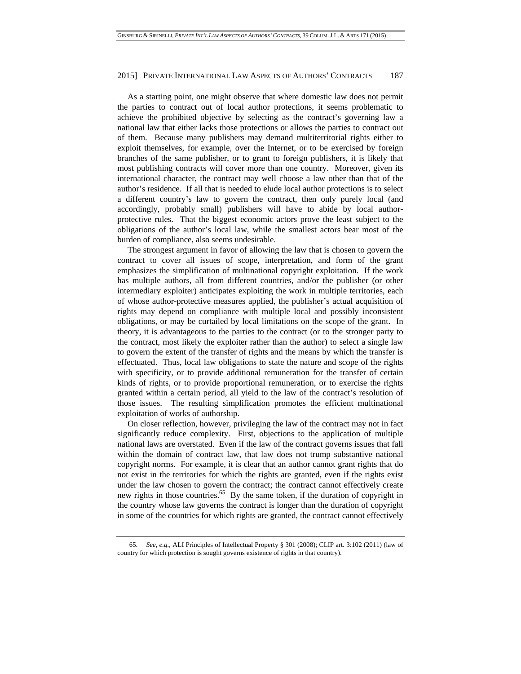As a starting point, one might observe that where domestic law does not permit the parties to contract out of local author protections, it seems problematic to achieve the prohibited objective by selecting as the contract's governing law a national law that either lacks those protections or allows the parties to contract out of them. Because many publishers may demand multiterritorial rights either to exploit themselves, for example, over the Internet, or to be exercised by foreign branches of the same publisher, or to grant to foreign publishers, it is likely that most publishing contracts will cover more than one country. Moreover, given its international character, the contract may well choose a law other than that of the author's residence. If all that is needed to elude local author protections is to select a different country's law to govern the contract, then only purely local (and accordingly, probably small) publishers will have to abide by local authorprotective rules. That the biggest economic actors prove the least subject to the obligations of the author's local law, while the smallest actors bear most of the burden of compliance, also seems undesirable.

The strongest argument in favor of allowing the law that is chosen to govern the contract to cover all issues of scope, interpretation, and form of the grant emphasizes the simplification of multinational copyright exploitation. If the work has multiple authors, all from different countries, and/or the publisher (or other intermediary exploiter) anticipates exploiting the work in multiple territories, each of whose author-protective measures applied, the publisher's actual acquisition of rights may depend on compliance with multiple local and possibly inconsistent obligations, or may be curtailed by local limitations on the scope of the grant. In theory, it is advantageous to the parties to the contract (or to the stronger party to the contract, most likely the exploiter rather than the author) to select a single law to govern the extent of the transfer of rights and the means by which the transfer is effectuated. Thus, local law obligations to state the nature and scope of the rights with specificity, or to provide additional remuneration for the transfer of certain kinds of rights, or to provide proportional remuneration, or to exercise the rights granted within a certain period, all yield to the law of the contract's resolution of those issues. The resulting simplification promotes the efficient multinational exploitation of works of authorship.

On closer reflection, however, privileging the law of the contract may not in fact significantly reduce complexity. First, objections to the application of multiple national laws are overstated. Even if the law of the contract governs issues that fall within the domain of contract law, that law does not trump substantive national copyright norms. For example, it is clear that an author cannot grant rights that do not exist in the territories for which the rights are granted, even if the rights exist under the law chosen to govern the contract; the contract cannot effectively create new rights in those countries.<sup>65</sup> By the same token, if the duration of copyright in the country whose law governs the contract is longer than the duration of copyright in some of the countries for which rights are granted, the contract cannot effectively

<sup>65</sup>*. See, e.g.*, ALI Principles of Intellectual Property § 301 (2008); CLIP art. 3:102 (2011) (law of country for which protection is sought governs existence of rights in that country).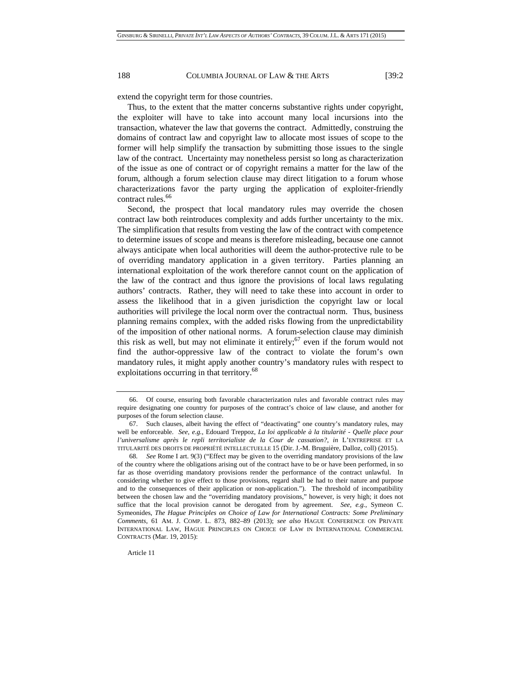extend the copyright term for those countries.

Thus, to the extent that the matter concerns substantive rights under copyright, the exploiter will have to take into account many local incursions into the transaction, whatever the law that governs the contract. Admittedly, construing the domains of contract law and copyright law to allocate most issues of scope to the former will help simplify the transaction by submitting those issues to the single law of the contract. Uncertainty may nonetheless persist so long as characterization of the issue as one of contract or of copyright remains a matter for the law of the forum, although a forum selection clause may direct litigation to a forum whose characterizations favor the party urging the application of exploiter-friendly contract rules.<sup>66</sup>

Second, the prospect that local mandatory rules may override the chosen contract law both reintroduces complexity and adds further uncertainty to the mix. The simplification that results from vesting the law of the contract with competence to determine issues of scope and means is therefore misleading, because one cannot always anticipate when local authorities will deem the author-protective rule to be of overriding mandatory application in a given territory. Parties planning an international exploitation of the work therefore cannot count on the application of the law of the contract and thus ignore the provisions of local laws regulating authors' contracts. Rather, they will need to take these into account in order to assess the likelihood that in a given jurisdiction the copyright law or local authorities will privilege the local norm over the contractual norm. Thus, business planning remains complex, with the added risks flowing from the unpredictability of the imposition of other national norms. A forum-selection clause may diminish this risk as well, but may not eliminate it entirely;  $67$  even if the forum would not find the author-oppressive law of the contract to violate the forum's own mandatory rules, it might apply another country's mandatory rules with respect to exploitations occurring in that territory.<sup>68</sup>

Article 11

 <sup>66.</sup> Of course, ensuring both favorable characterization rules and favorable contract rules may require designating one country for purposes of the contract's choice of law clause, and another for purposes of the forum selection clause.

 <sup>67.</sup> Such clauses, albeit having the effect of "deactivating" one country's mandatory rules, may well be enforceable. *See, e.g.*, Edouard Treppoz, *La loi applicable à la titularité - Quelle place pour l'universalisme après le repli territorialiste de la Cour de cassation?*, *in* L'ENTREPRISE ET LA TITULARITÉ DES DROITS DE PROPRIÉTÉ INTELLECTUELLE 15 (Dir. J.-M. Bruguière, Dalloz, coll) (2015).

<sup>68</sup>*. See* Rome I art. 9(3) ("Effect may be given to the overriding mandatory provisions of the law of the country where the obligations arising out of the contract have to be or have been performed, in so far as those overriding mandatory provisions render the performance of the contract unlawful. In considering whether to give effect to those provisions, regard shall be had to their nature and purpose and to the consequences of their application or non-application."). The threshold of incompatibility between the chosen law and the "overriding mandatory provisions," however, is very high; it does not suffice that the local provision cannot be derogated from by agreement. *See, e.g.*, Symeon C. Symeonides, *The Hague Principles on Choice of Law for International Contracts: Some Preliminary Comments*, 61 AM. J. COMP. L. 873, 882–89 (2013); *see also* HAGUE CONFERENCE ON PRIVATE INTERNATIONAL LAW, HAGUE PRINCIPLES ON CHOICE OF LAW IN INTERNATIONAL COMMERCIAL CONTRACTS (Mar. 19, 2015):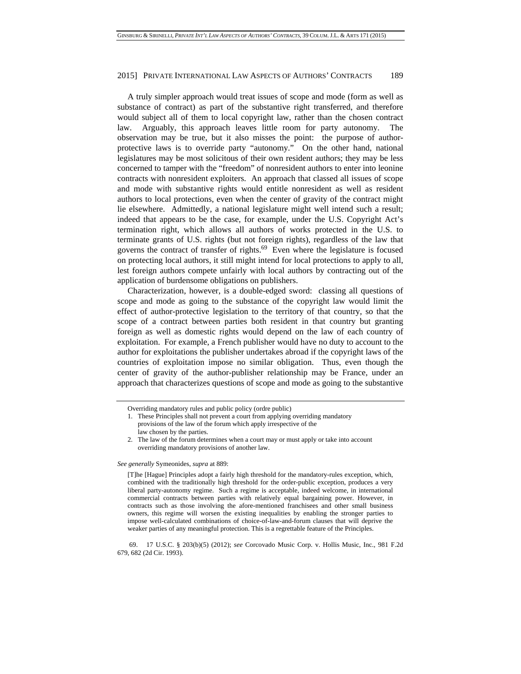A truly simpler approach would treat issues of scope and mode (form as well as substance of contract) as part of the substantive right transferred, and therefore would subject all of them to local copyright law, rather than the chosen contract law. Arguably, this approach leaves little room for party autonomy. The observation may be true, but it also misses the point: the purpose of authorprotective laws is to override party "autonomy." On the other hand, national legislatures may be most solicitous of their own resident authors; they may be less concerned to tamper with the "freedom" of nonresident authors to enter into leonine contracts with nonresident exploiters. An approach that classed all issues of scope and mode with substantive rights would entitle nonresident as well as resident authors to local protections, even when the center of gravity of the contract might lie elsewhere. Admittedly, a national legislature might well intend such a result; indeed that appears to be the case, for example, under the U.S. Copyright Act's termination right, which allows all authors of works protected in the U.S. to terminate grants of U.S. rights (but not foreign rights), regardless of the law that governs the contract of transfer of rights. $69$  Even where the legislature is focused on protecting local authors, it still might intend for local protections to apply to all, lest foreign authors compete unfairly with local authors by contracting out of the application of burdensome obligations on publishers.

Characterization, however, is a double-edged sword: classing all questions of scope and mode as going to the substance of the copyright law would limit the effect of author-protective legislation to the territory of that country, so that the scope of a contract between parties both resident in that country but granting foreign as well as domestic rights would depend on the law of each country of exploitation. For example, a French publisher would have no duty to account to the author for exploitations the publisher undertakes abroad if the copyright laws of the countries of exploitation impose no similar obligation. Thus, even though the center of gravity of the author-publisher relationship may be France, under an approach that characterizes questions of scope and mode as going to the substantive

*See generally* Symeonides, *supra* at 889:

[T]he [Hague] Principles adopt a fairly high threshold for the mandatory-rules exception, which, combined with the traditionally high threshold for the order-public exception, produces a very liberal party-autonomy regime. Such a regime is acceptable, indeed welcome, in international commercial contracts between parties with relatively equal bargaining power. However, in contracts such as those involving the afore-mentioned franchisees and other small business owners, this regime will worsen the existing inequalities by enabling the stronger parties to impose well-calculated combinations of choice-of-law-and-forum clauses that will deprive the weaker parties of any meaningful protection. This is a regrettable feature of the Principles.

 69. 17 U.S.C. § 203(b)(5) (2012); *see* Corcovado Music Corp. v. Hollis Music, Inc., 981 F.2d 679, 682 (2d Cir. 1993).

Overriding mandatory rules and public policy (ordre public)

<sup>1.</sup> These Principles shall not prevent a court from applying overriding mandatory provisions of the law of the forum which apply irrespective of the law chosen by the parties.

<sup>2.</sup> The law of the forum determines when a court may or must apply or take into account overriding mandatory provisions of another law.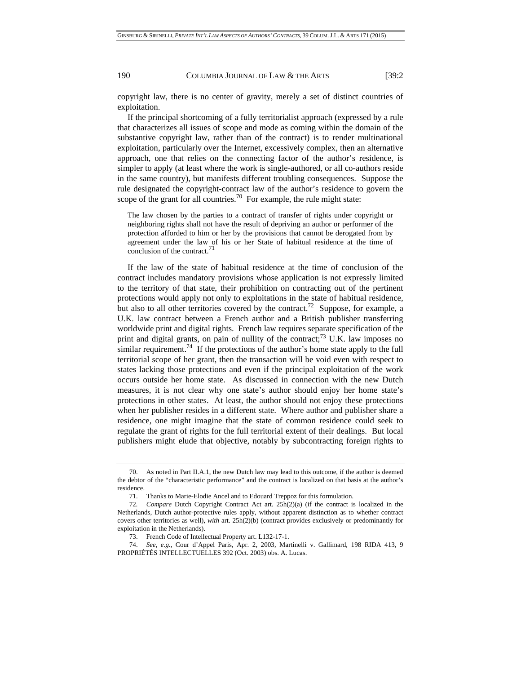copyright law, there is no center of gravity, merely a set of distinct countries of exploitation.

If the principal shortcoming of a fully territorialist approach (expressed by a rule that characterizes all issues of scope and mode as coming within the domain of the substantive copyright law, rather than of the contract) is to render multinational exploitation, particularly over the Internet, excessively complex, then an alternative approach, one that relies on the connecting factor of the author's residence, is simpler to apply (at least where the work is single-authored, or all co-authors reside in the same country), but manifests different troubling consequences. Suppose the rule designated the copyright-contract law of the author's residence to govern the scope of the grant for all countries.<sup>70</sup> For example, the rule might state:

The law chosen by the parties to a contract of transfer of rights under copyright or neighboring rights shall not have the result of depriving an author or performer of the protection afforded to him or her by the provisions that cannot be derogated from by agreement under the law of his or her State of habitual residence at the time of conclusion of the contract.<sup>71</sup>

If the law of the state of habitual residence at the time of conclusion of the contract includes mandatory provisions whose application is not expressly limited to the territory of that state, their prohibition on contracting out of the pertinent protections would apply not only to exploitations in the state of habitual residence, but also to all other territories covered by the contract.<sup>72</sup> Suppose, for example, a U.K. law contract between a French author and a British publisher transferring worldwide print and digital rights. French law requires separate specification of the print and digital grants, on pain of nullity of the contract;<sup>73</sup> U.K. law imposes no similar requirement.<sup>74</sup> If the protections of the author's home state apply to the full territorial scope of her grant, then the transaction will be void even with respect to states lacking those protections and even if the principal exploitation of the work occurs outside her home state. As discussed in connection with the new Dutch measures, it is not clear why one state's author should enjoy her home state's protections in other states. At least, the author should not enjoy these protections when her publisher resides in a different state. Where author and publisher share a residence, one might imagine that the state of common residence could seek to regulate the grant of rights for the full territorial extent of their dealings. But local publishers might elude that objective, notably by subcontracting foreign rights to

 <sup>70.</sup> As noted in Part II.A.1, the new Dutch law may lead to this outcome, if the author is deemed the debtor of the "characteristic performance" and the contract is localized on that basis at the author's residence.

 <sup>71.</sup> Thanks to Marie-Elodie Ancel and to Edouard Treppoz for this formulation.

<sup>72</sup>*. Compare* Dutch Copyright Contract Act art. 25h(2)(a) (if the contract is localized in the Netherlands, Dutch author-protective rules apply, without apparent distinction as to whether contract covers other territories as well), *with* art. 25h(2)(b) (contract provides exclusively or predominantly for exploitation in the Netherlands).

 <sup>73.</sup> French Code of Intellectual Property art. L132-17-1.

 <sup>74.</sup> *See, e.g.*, Cour d'Appel Paris, Apr. 2, 2003, Martinelli v. Gallimard, 198 RIDA 413, 9 PROPRIÉTÉS INTELLECTUELLES 392 (Oct. 2003) obs. A. Lucas.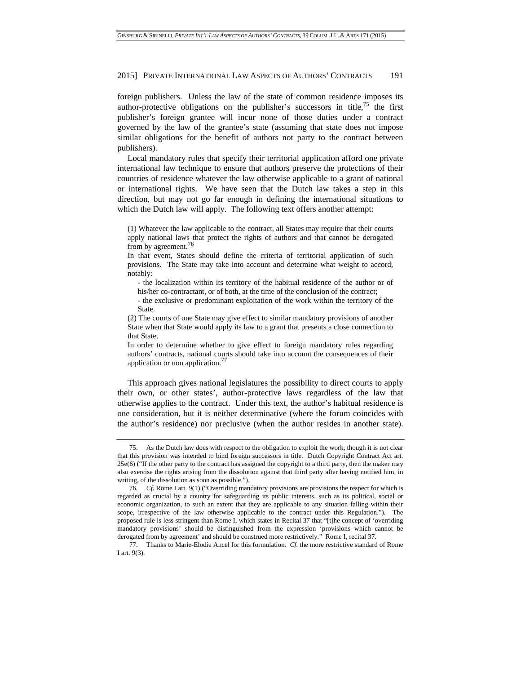foreign publishers. Unless the law of the state of common residence imposes its author-protective obligations on the publisher's successors in title,75 the first publisher's foreign grantee will incur none of those duties under a contract governed by the law of the grantee's state (assuming that state does not impose similar obligations for the benefit of authors not party to the contract between publishers).

Local mandatory rules that specify their territorial application afford one private international law technique to ensure that authors preserve the protections of their countries of residence whatever the law otherwise applicable to a grant of national or international rights. We have seen that the Dutch law takes a step in this direction, but may not go far enough in defining the international situations to which the Dutch law will apply. The following text offers another attempt:

(1) Whatever the law applicable to the contract, all States may require that their courts apply national laws that protect the rights of authors and that cannot be derogated from by agreement.<sup>76</sup>

In that event, States should define the criteria of territorial application of such provisions. The State may take into account and determine what weight to accord, notably:

- the localization within its territory of the habitual residence of the author or of his/her co-contractant, or of both, at the time of the conclusion of the contract;

- the exclusive or predominant exploitation of the work within the territory of the State.

(2) The courts of one State may give effect to similar mandatory provisions of another State when that State would apply its law to a grant that presents a close connection to that State.

In order to determine whether to give effect to foreign mandatory rules regarding authors' contracts, national courts should take into account the consequences of their application or non application.<sup>77</sup>

This approach gives national legislatures the possibility to direct courts to apply their own, or other states', author-protective laws regardless of the law that otherwise applies to the contract. Under this text, the author's habitual residence is one consideration, but it is neither determinative (where the forum coincides with the author's residence) nor preclusive (when the author resides in another state).

 <sup>75.</sup> As the Dutch law does with respect to the obligation to exploit the work, though it is not clear that this provision was intended to bind foreign successors in title. Dutch Copyright Contract Act art. 25e(6) ("If the other party to the contract has assigned the copyright to a third party, then the maker may also exercise the rights arising from the dissolution against that third party after having notified him, in writing, of the dissolution as soon as possible.").

<sup>76</sup>*. Cf.* Rome I art. 9(1) ("Overriding mandatory provisions are provisions the respect for which is regarded as crucial by a country for safeguarding its public interests, such as its political, social or economic organization, to such an extent that they are applicable to any situation falling within their scope, irrespective of the law otherwise applicable to the contract under this Regulation."). The proposed rule is less stringent than Rome I, which states in Recital 37 that "[t]he concept of 'overriding mandatory provisions' should be distinguished from the expression 'provisions which cannot be derogated from by agreement' and should be construed more restrictively." Rome I, recital 37*.* 

 <sup>77.</sup> Thanks to Marie-Elodie Ancel for this formulation. *Cf.* the more restrictive standard of Rome I art. 9(3).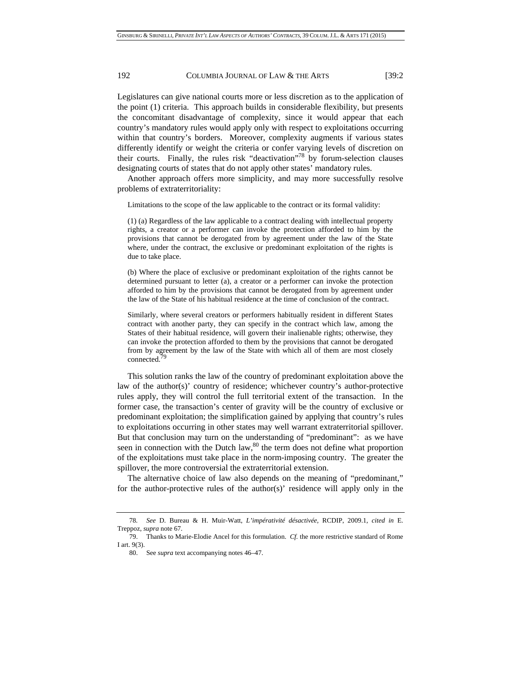Legislatures can give national courts more or less discretion as to the application of the point (1) criteria. This approach builds in considerable flexibility, but presents the concomitant disadvantage of complexity, since it would appear that each country's mandatory rules would apply only with respect to exploitations occurring within that country's borders. Moreover, complexity augments if various states differently identify or weight the criteria or confer varying levels of discretion on their courts. Finally, the rules risk "deactivation"78 by forum-selection clauses designating courts of states that do not apply other states' mandatory rules.

Another approach offers more simplicity, and may more successfully resolve problems of extraterritoriality:

Limitations to the scope of the law applicable to the contract or its formal validity:

(1) (a) Regardless of the law applicable to a contract dealing with intellectual property rights, a creator or a performer can invoke the protection afforded to him by the provisions that cannot be derogated from by agreement under the law of the State where, under the contract, the exclusive or predominant exploitation of the rights is due to take place.

(b) Where the place of exclusive or predominant exploitation of the rights cannot be determined pursuant to letter (a), a creator or a performer can invoke the protection afforded to him by the provisions that cannot be derogated from by agreement under the law of the State of his habitual residence at the time of conclusion of the contract.

Similarly, where several creators or performers habitually resident in different States contract with another party, they can specify in the contract which law, among the States of their habitual residence, will govern their inalienable rights; otherwise, they can invoke the protection afforded to them by the provisions that cannot be derogated from by agreement by the law of the State with which all of them are most closely connected.<sup>7</sup>

This solution ranks the law of the country of predominant exploitation above the law of the author(s)' country of residence; whichever country's author-protective rules apply, they will control the full territorial extent of the transaction. In the former case, the transaction's center of gravity will be the country of exclusive or predominant exploitation; the simplification gained by applying that country's rules to exploitations occurring in other states may well warrant extraterritorial spillover. But that conclusion may turn on the understanding of "predominant": as we have seen in connection with the Dutch law,  $80$  the term does not define what proportion of the exploitations must take place in the norm-imposing country. The greater the spillover, the more controversial the extraterritorial extension.

The alternative choice of law also depends on the meaning of "predominant," for the author-protective rules of the author(s)' residence will apply only in the

<sup>78</sup>*. See* D. Bureau & H. Muir-Watt, *L'impérativité désactivée*, RCDIP, 2009.1, *cited in* E. Treppoz, *supra* note 67.

<sup>79.</sup> Thanks to Marie-Elodie Ancel for this formulation. *Cf.* the more restrictive standard of Rome I art. 9(3).

<sup>80.</sup> See *supra* text accompanying notes 46–47.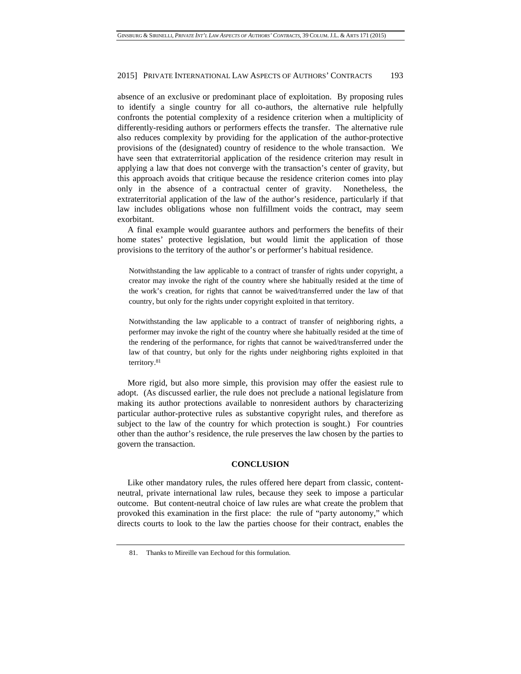absence of an exclusive or predominant place of exploitation. By proposing rules to identify a single country for all co-authors, the alternative rule helpfully confronts the potential complexity of a residence criterion when a multiplicity of differently-residing authors or performers effects the transfer. The alternative rule also reduces complexity by providing for the application of the author-protective provisions of the (designated) country of residence to the whole transaction. We have seen that extraterritorial application of the residence criterion may result in applying a law that does not converge with the transaction's center of gravity, but this approach avoids that critique because the residence criterion comes into play only in the absence of a contractual center of gravity. Nonetheless, the extraterritorial application of the law of the author's residence, particularly if that law includes obligations whose non fulfillment voids the contract, may seem exorbitant.

A final example would guarantee authors and performers the benefits of their home states' protective legislation, but would limit the application of those provisions to the territory of the author's or performer's habitual residence.

Notwithstanding the law applicable to a contract of transfer of rights under copyright, a creator may invoke the right of the country where she habitually resided at the time of the work's creation, for rights that cannot be waived/transferred under the law of that country, but only for the rights under copyright exploited in that territory.

Notwithstanding the law applicable to a contract of transfer of neighboring rights, a performer may invoke the right of the country where she habitually resided at the time of the rendering of the performance, for rights that cannot be waived/transferred under the law of that country, but only for the rights under neighboring rights exploited in that territory.81

More rigid, but also more simple, this provision may offer the easiest rule to adopt. (As discussed earlier, the rule does not preclude a national legislature from making its author protections available to nonresident authors by characterizing particular author-protective rules as substantive copyright rules, and therefore as subject to the law of the country for which protection is sought.) For countries other than the author's residence, the rule preserves the law chosen by the parties to govern the transaction.

## **CONCLUSION**

Like other mandatory rules, the rules offered here depart from classic, contentneutral, private international law rules, because they seek to impose a particular outcome. But content-neutral choice of law rules are what create the problem that provoked this examination in the first place: the rule of "party autonomy," which directs courts to look to the law the parties choose for their contract, enables the

 <sup>81.</sup> Thanks to Mireille van Eechoud for this formulation.